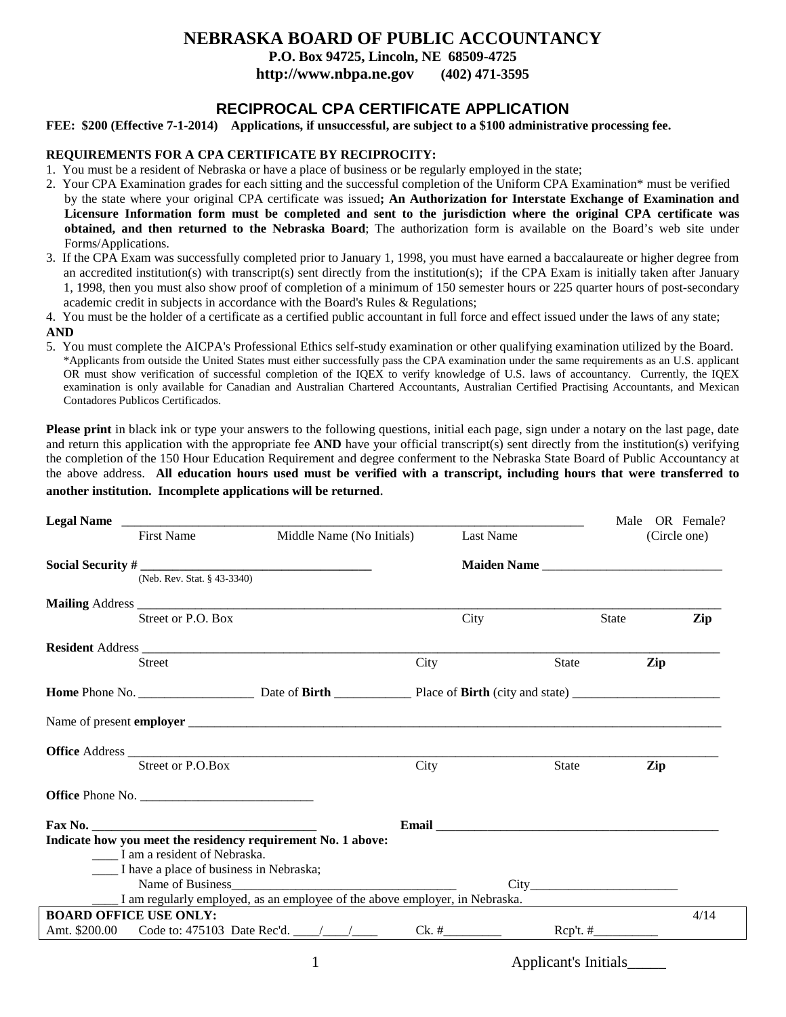# **NEBRASKA BOARD OF PUBLIC ACCOUNTANCY**

**P.O. Box 94725, Lincoln, NE 68509-4725**

**http://www.nbpa.ne.gov (402) 471-3595**

# **RECIPROCAL CPA CERTIFICATE APPLICATION**

**FEE: \$200 (Effective 7-1-2014) Applications, if unsuccessful, are subject to a \$100 administrative processing fee.**

## **REQUIREMENTS FOR A CPA CERTIFICATE BY RECIPROCITY:**

- 1. You must be a resident of Nebraska or have a place of business or be regularly employed in the state;
- 2. Your CPA Examination grades for each sitting and the successful completion of the Uniform CPA Examination\* must be verified by the state where your original CPA certificate was issued**; An Authorization for Interstate Exchange of Examination and Licensure Information form must be completed and sent to the jurisdiction where the original CPA certificate was obtained, and then returned to the Nebraska Board**; The authorization form is available on the Board's web site under Forms/Applications.
- 3. If the CPA Exam was successfully completed prior to January 1, 1998, you must have earned a baccalaureate or higher degree from an accredited institution(s) with transcript(s) sent directly from the institution(s); if the CPA Exam is initially taken after January 1, 1998, then you must also show proof of completion of a minimum of 150 semester hours or 225 quarter hours of post-secondary academic credit in subjects in accordance with the Board's Rules & Regulations;

4. You must be the holder of a certificate as a certified public accountant in full force and effect issued under the laws of any state; **AND**

5. You must complete the AICPA's Professional Ethics self-study examination or other qualifying examination utilized by the Board. \*Applicants from outside the United States must either successfully pass the CPA examination under the same requirements as an U.S. applicant OR must show verification of successful completion of the IQEX to verify knowledge of U.S. laws of accountancy. Currently, the IQEX examination is only available for Canadian and Australian Chartered Accountants, Australian Certified Practising Accountants, and Mexican Contadores Publicos Certificados.

**Please print** in black ink or type your answers to the following questions, initial each page, sign under a notary on the last page, date and return this application with the appropriate fee **AND** have your official transcript(s) sent directly from the institution(s) verifying the completion of the 150 Hour Education Requirement and degree conferment to the Nebraska State Board of Public Accountancy at the above address. **All education hours used must be verified with a transcript, including hours that were transferred to another institution. Incomplete applications will be returned**.

|                                                                                   |                                                                             |      |             |                      |       |              | Male OR Female? |
|-----------------------------------------------------------------------------------|-----------------------------------------------------------------------------|------|-------------|----------------------|-------|--------------|-----------------|
| <b>First Name</b>                                                                 | Middle Name (No Initials)                                                   |      | Last Name   |                      |       | (Circle one) |                 |
|                                                                                   |                                                                             |      | Maiden Name |                      |       |              |                 |
| (Neb. Rev. Stat. § 43-3340)                                                       |                                                                             |      |             |                      |       |              |                 |
|                                                                                   |                                                                             |      |             |                      |       |              |                 |
| Street or P.O. Box                                                                |                                                                             |      | City        |                      | State |              | Zip             |
|                                                                                   |                                                                             |      |             |                      |       |              |                 |
| <b>Street</b>                                                                     |                                                                             | City |             | State                |       | Zip          |                 |
|                                                                                   |                                                                             |      |             |                      |       |              |                 |
|                                                                                   |                                                                             |      |             |                      |       |              |                 |
|                                                                                   |                                                                             |      |             |                      |       |              |                 |
| Street or P.O.Box                                                                 |                                                                             | City |             | State                |       | Zip          |                 |
| Office Phone No.                                                                  |                                                                             |      |             |                      |       |              |                 |
|                                                                                   |                                                                             |      |             |                      |       |              |                 |
|                                                                                   |                                                                             |      |             |                      |       |              |                 |
| ____ I am a resident of Nebraska.<br>____ I have a place of business in Nebraska; |                                                                             |      |             |                      |       |              |                 |
|                                                                                   |                                                                             |      |             |                      |       |              |                 |
|                                                                                   | I am regularly employed, as an employee of the above employer, in Nebraska. |      |             |                      |       |              |                 |
| <b>BOARD OFFICE USE ONLY:</b>                                                     |                                                                             |      |             |                      |       |              | 4/14            |
|                                                                                   |                                                                             |      |             |                      |       |              |                 |
|                                                                                   | $\mathbf{1}$                                                                |      |             | Applicant's Initials |       |              |                 |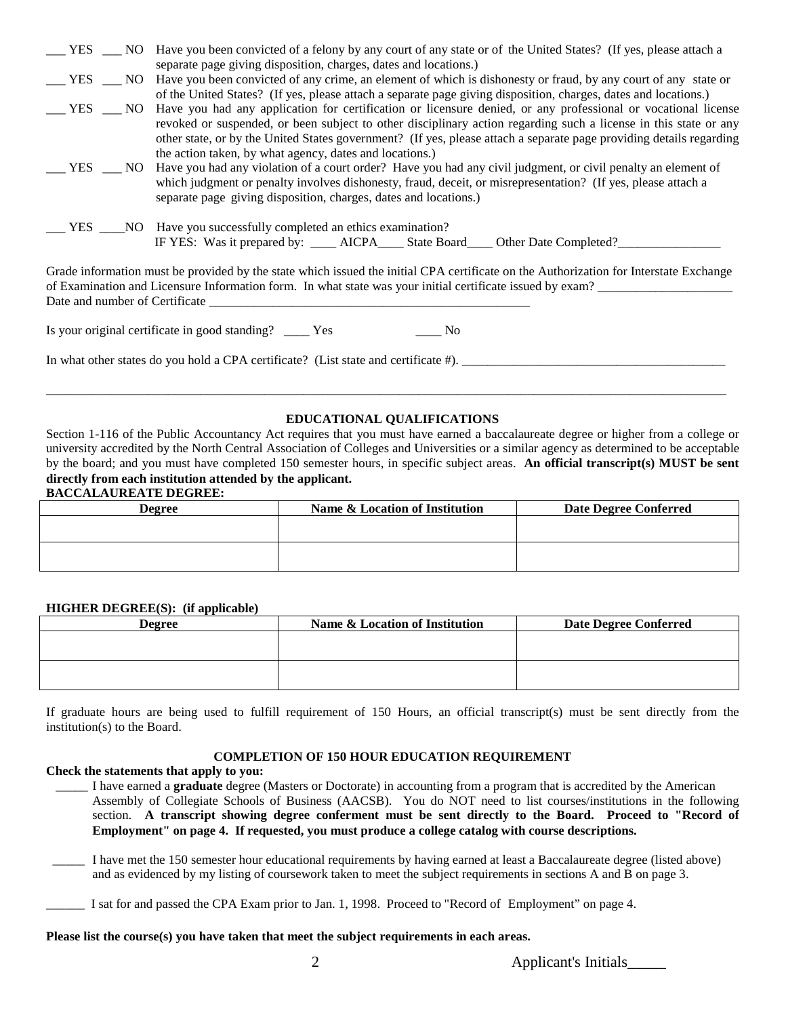|        | __ YES __ NO Have you been convicted of a felony by any court of any state or of the United States? (If yes, please attach a |
|--------|------------------------------------------------------------------------------------------------------------------------------|
|        | separate page giving disposition, charges, dates and locations.)                                                             |
|        | YES NO Have you been convicted of any crime, an element of which is dishonesty or fraud, by any court of any state or        |
|        | of the United States? (If yes, please attach a separate page giving disposition, charges, dates and locations.)              |
|        | YES NO Have you had any application for certification or licensure denied, or any professional or vocational license         |
|        | revoked or suspended, or been subject to other disciplinary action regarding such a license in this state or any             |
|        | other state, or by the United States government? (If yes, please attach a separate page providing details regarding          |
|        | the action taken, by what agency, dates and locations.)                                                                      |
| YES    | NO Have you had any violation of a court order? Have you had any civil judgment, or civil penalty an element of              |
|        | which judgment or penalty involves dishonesty, fraud, deceit, or misrepresentation? (If yes, please attach a                 |
|        | separate page giving disposition, charges, dates and locations.)                                                             |
|        |                                                                                                                              |
| YES NO | Have you successfully completed an ethics examination?                                                                       |
|        | IF YES: Was it prepared by: _____ AICPA_____ State Board_____ Other Date Completed?                                          |
|        |                                                                                                                              |

Grade information must be provided by the state which issued the initial CPA certificate on the Authorization for Interstate Exchange of Examination and Licensure Information form. In what state was your initial certificate issued by exam? \_\_\_\_\_\_\_\_\_\_\_\_\_\_\_\_\_\_\_\_\_ Date and number of Certificate

Is your original certificate in good standing? \_\_\_\_ Yes \_\_\_\_ No

In what other states do you hold a CPA certificate? (List state and certificate #). \_\_\_\_\_\_\_\_\_\_\_\_\_\_\_\_\_\_\_\_\_\_\_\_\_\_\_\_\_\_\_\_\_\_\_\_\_\_\_\_\_

## **EDUCATIONAL QUALIFICATIONS**

\_\_\_\_\_\_\_\_\_\_\_\_\_\_\_\_\_\_\_\_\_\_\_\_\_\_\_\_\_\_\_\_\_\_\_\_\_\_\_\_\_\_\_\_\_\_\_\_\_\_\_\_\_\_\_\_\_\_\_\_\_\_\_\_\_\_\_\_\_\_\_\_\_\_\_\_\_\_\_\_\_\_\_\_\_\_\_\_\_\_\_\_\_\_\_\_\_\_\_\_\_\_\_\_\_\_

Section 1-116 of the Public Accountancy Act requires that you must have earned a baccalaureate degree or higher from a college or university accredited by the North Central Association of Colleges and Universities or a similar agency as determined to be acceptable by the board; and you must have completed 150 semester hours, in specific subject areas. **An official transcript(s) MUST be sent directly from each institution attended by the applicant.**

#### **BACCALAUREATE DEGREE:**

| <b>Degree</b> | Name & Location of Institution | <b>Date Degree Conferred</b> |  |  |
|---------------|--------------------------------|------------------------------|--|--|
|               |                                |                              |  |  |
|               |                                |                              |  |  |
|               |                                |                              |  |  |

#### **HIGHER DEGREE(S): (if applicable)**

| <b>Degree</b> | Name & Location of Institution | <b>Date Degree Conferred</b> |  |  |  |
|---------------|--------------------------------|------------------------------|--|--|--|
|               |                                |                              |  |  |  |
|               |                                |                              |  |  |  |
|               |                                |                              |  |  |  |
|               |                                |                              |  |  |  |

If graduate hours are being used to fulfill requirement of 150 Hours, an official transcript(s) must be sent directly from the institution(s) to the Board.

## **COMPLETION OF 150 HOUR EDUCATION REQUIREMENT**

## **Check the statements that apply to you:**

- \_\_\_\_\_ I have earned a **graduate** degree (Masters or Doctorate) in accounting from a program that is accredited by the American Assembly of Collegiate Schools of Business (AACSB). You do NOT need to list courses/institutions in the following section. **A transcript showing degree conferment must be sent directly to the Board. Proceed to "Record of Employment" on page 4. If requested, you must produce a college catalog with course descriptions.**
- \_\_\_\_\_ I have met the 150 semester hour educational requirements by having earned at least a Baccalaureate degree (listed above) and as evidenced by my listing of coursework taken to meet the subject requirements in sections A and B on page 3.
- \_\_\_\_\_\_ I sat for and passed the CPA Exam prior to Jan. 1, 1998. Proceed to "Record of Employment" on page 4.

#### **Please list the course(s) you have taken that meet the subject requirements in each areas.**

2 Applicant's Initials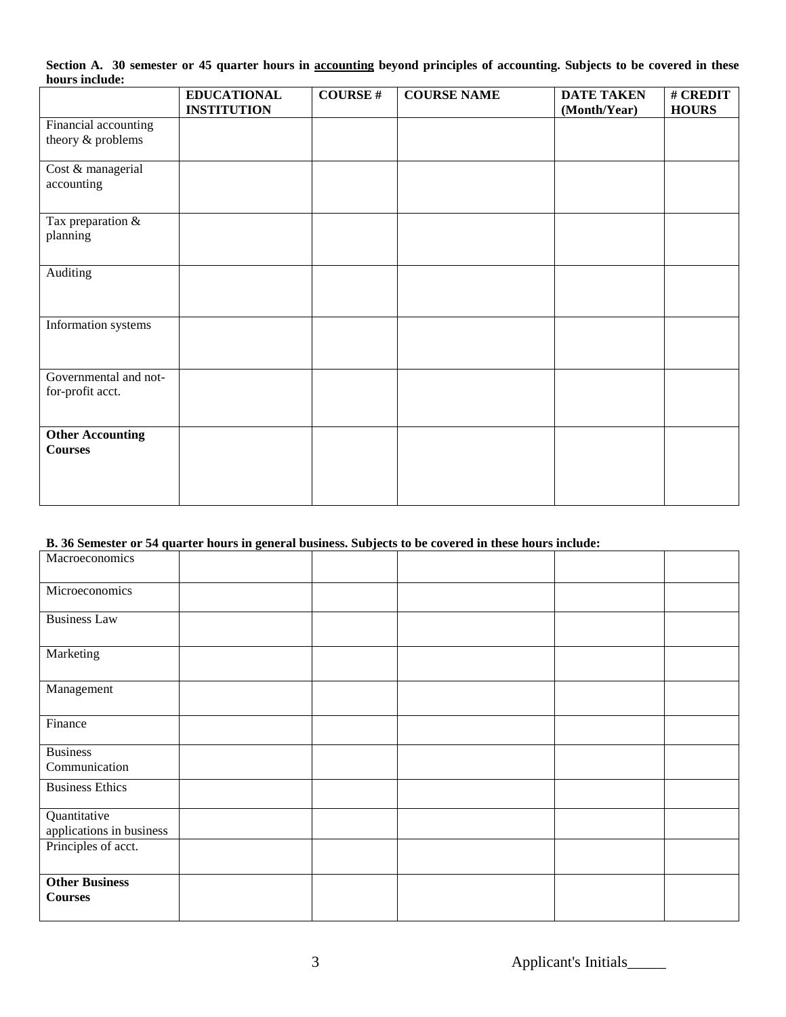|                |  |  |  | Section A. 30 semester or 45 quarter hours in accounting beyond principles of accounting. Subjects to be covered in these |  |  |
|----------------|--|--|--|---------------------------------------------------------------------------------------------------------------------------|--|--|
| hours include: |  |  |  |                                                                                                                           |  |  |

|                         | <b>EDUCATIONAL</b> | <b>COURSE#</b> | <b>COURSE NAME</b> | <b>DATE TAKEN</b> | # CREDIT     |
|-------------------------|--------------------|----------------|--------------------|-------------------|--------------|
|                         | <b>INSTITUTION</b> |                |                    | (Month/Year)      | <b>HOURS</b> |
| Financial accounting    |                    |                |                    |                   |              |
| theory & problems       |                    |                |                    |                   |              |
| Cost & managerial       |                    |                |                    |                   |              |
| accounting              |                    |                |                    |                   |              |
| Tax preparation $\&$    |                    |                |                    |                   |              |
| planning                |                    |                |                    |                   |              |
| Auditing                |                    |                |                    |                   |              |
|                         |                    |                |                    |                   |              |
|                         |                    |                |                    |                   |              |
| Information systems     |                    |                |                    |                   |              |
|                         |                    |                |                    |                   |              |
| Governmental and not-   |                    |                |                    |                   |              |
| for-profit acct.        |                    |                |                    |                   |              |
|                         |                    |                |                    |                   |              |
| <b>Other Accounting</b> |                    |                |                    |                   |              |
| <b>Courses</b>          |                    |                |                    |                   |              |
|                         |                    |                |                    |                   |              |
|                         |                    |                |                    |                   |              |
|                         |                    |                |                    |                   |              |

# **B. 36 Semester or 54 quarter hours in general business. Subjects to be covered in these hours include:**

| Macroeconomics                           |  |  |  |
|------------------------------------------|--|--|--|
| Microeconomics                           |  |  |  |
| <b>Business Law</b>                      |  |  |  |
| Marketing                                |  |  |  |
| Management                               |  |  |  |
| Finance                                  |  |  |  |
| <b>Business</b><br>Communication         |  |  |  |
| <b>Business Ethics</b>                   |  |  |  |
| Quantitative<br>applications in business |  |  |  |
| Principles of acct.                      |  |  |  |
| <b>Other Business</b><br><b>Courses</b>  |  |  |  |

3 Applicant's Initials\_\_\_\_\_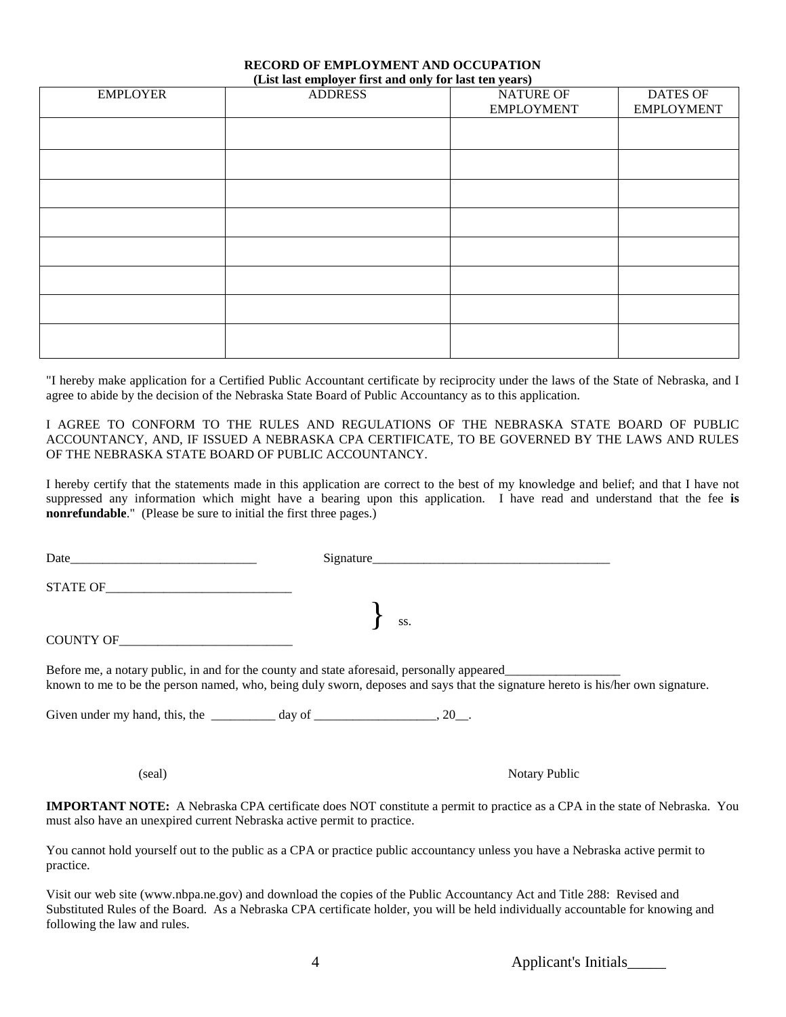#### **RECORD OF EMPLOYMENT AND OCCUPATION (List last employer first and only for last ten years)**

| <b>EMPLOYER</b> | <b>ADDRESS</b> | NATURE OF<br><b>EMPLOYMENT</b> | <b>DATES OF</b><br><b>EMPLOYMENT</b> |
|-----------------|----------------|--------------------------------|--------------------------------------|
|                 |                |                                |                                      |
|                 |                |                                |                                      |
|                 |                |                                |                                      |
|                 |                |                                |                                      |
|                 |                |                                |                                      |
|                 |                |                                |                                      |
|                 |                |                                |                                      |
|                 |                |                                |                                      |

"I hereby make application for a Certified Public Accountant certificate by reciprocity under the laws of the State of Nebraska, and I agree to abide by the decision of the Nebraska State Board of Public Accountancy as to this application.

I AGREE TO CONFORM TO THE RULES AND REGULATIONS OF THE NEBRASKA STATE BOARD OF PUBLIC ACCOUNTANCY, AND, IF ISSUED A NEBRASKA CPA CERTIFICATE, TO BE GOVERNED BY THE LAWS AND RULES OF THE NEBRASKA STATE BOARD OF PUBLIC ACCOUNTANCY.

I hereby certify that the statements made in this application are correct to the best of my knowledge and belief; and that I have not suppressed any information which might have a bearing upon this application. I have read and understand that the fee **is nonrefundable**." (Please be sure to initial the first three pages.)

|                                                                                                                                 | Signature            |  |
|---------------------------------------------------------------------------------------------------------------------------------|----------------------|--|
|                                                                                                                                 |                      |  |
|                                                                                                                                 | $\left\{\right.$ ss. |  |
| COUNTY OF                                                                                                                       |                      |  |
| known to me to be the person named, who, being duly sworn, deposes and says that the signature hereto is his/her own signature. |                      |  |
| Given under my hand, this, the $\frac{1}{2}$ day of $\frac{1}{2}$ day of $\frac{1}{2}$ .                                        |                      |  |
|                                                                                                                                 |                      |  |
|                                                                                                                                 |                      |  |

(seal) Notary Public (seal)

**IMPORTANT NOTE:** A Nebraska CPA certificate does NOT constitute a permit to practice as a CPA in the state of Nebraska. You must also have an unexpired current Nebraska active permit to practice.

You cannot hold yourself out to the public as a CPA or practice public accountancy unless you have a Nebraska active permit to practice.

Visit our web site (www.nbpa.ne.gov) and download the copies of the Public Accountancy Act and Title 288: Revised and Substituted Rules of the Board. As a Nebraska CPA certificate holder, you will be held individually accountable for knowing and following the law and rules.

4 Applicant's Initials\_\_\_\_\_